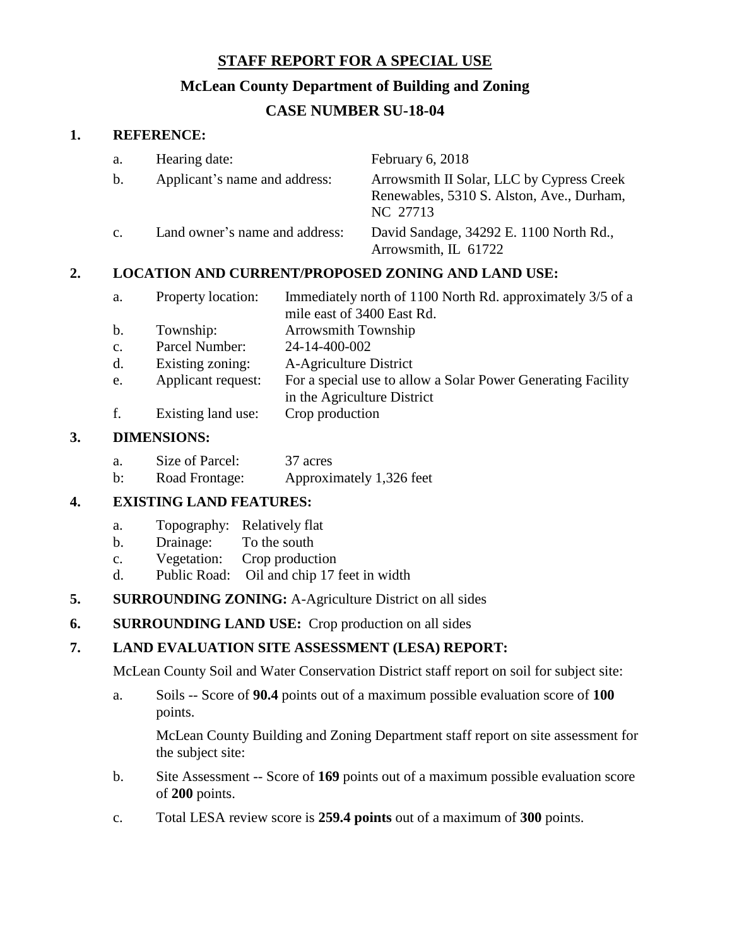## **STAFF REPORT FOR A SPECIAL USE**

### **McLean County Department of Building and Zoning**

# **CASE NUMBER SU-18-04**

#### **1. REFERENCE:**

| a.             | Hearing date:                  | February 6, 2018                                                                                   |
|----------------|--------------------------------|----------------------------------------------------------------------------------------------------|
| b.             | Applicant's name and address:  | Arrowsmith II Solar, LLC by Cypress Creek<br>Renewables, 5310 S. Alston, Ave., Durham,<br>NC 27713 |
| $\mathbf{c}$ . | Land owner's name and address: | David Sandage, 34292 E. 1100 North Rd.,<br>Arrowsmith, IL 61722                                    |

## **2. LOCATION AND CURRENT/PROPOSED ZONING AND LAND USE:**

| a.             | Property location: | Immediately north of 1100 North Rd. approximately 3/5 of a |
|----------------|--------------------|------------------------------------------------------------|
|                |                    | mile east of 3400 East Rd.                                 |
| $\mathbf{b}$ . | Township:          | Arrowsmith Township                                        |
| $c_{\cdot}$    | Parcel Number:     | 24-14-400-002                                              |

- d. Existing zoning: A-Agriculture District
- e. Applicant request: For a special use to allow a Solar Power Generating Facility
	- in the Agriculture District
- f. Existing land use: Crop production

#### **3. DIMENSIONS:**

| а. | Size of Parcel: | 37 acres                 |
|----|-----------------|--------------------------|
| b: | Road Frontage:  | Approximately 1,326 feet |

#### **4. EXISTING LAND FEATURES:**

- a. Topography: Relatively flat
- b. Drainage: To the south
- c. Vegetation: Crop production
- d. Public Road: Oil and chip 17 feet in width
- **5. SURROUNDING ZONING:** A-Agriculture District on all sides
- **6. SURROUNDING LAND USE:** Crop production on all sides

## **7. LAND EVALUATION SITE ASSESSMENT (LESA) REPORT:**

McLean County Soil and Water Conservation District staff report on soil for subject site:

a. Soils -- Score of **90.4** points out of a maximum possible evaluation score of **100** points.

McLean County Building and Zoning Department staff report on site assessment for the subject site:

- b. Site Assessment -- Score of **169** points out of a maximum possible evaluation score of **200** points.
- c. Total LESA review score is **259.4 points** out of a maximum of **300** points.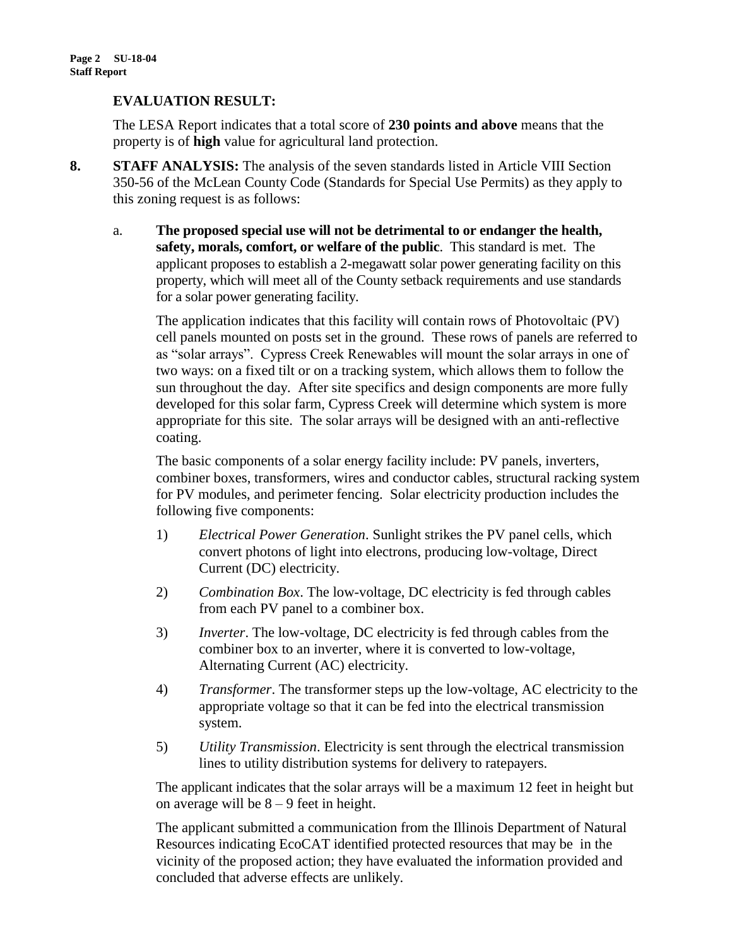#### **EVALUATION RESULT:**

The LESA Report indicates that a total score of **230 points and above** means that the property is of **high** value for agricultural land protection.

- **8. STAFF ANALYSIS:** The analysis of the seven standards listed in Article VIII Section 350-56 of the McLean County Code (Standards for Special Use Permits) as they apply to this zoning request is as follows:
	- a. **The proposed special use will not be detrimental to or endanger the health, safety, morals, comfort, or welfare of the public**. This standard is met. The applicant proposes to establish a 2-megawatt solar power generating facility on this property, which will meet all of the County setback requirements and use standards for a solar power generating facility.

The application indicates that this facility will contain rows of Photovoltaic (PV) cell panels mounted on posts set in the ground. These rows of panels are referred to as "solar arrays". Cypress Creek Renewables will mount the solar arrays in one of two ways: on a fixed tilt or on a tracking system, which allows them to follow the sun throughout the day. After site specifics and design components are more fully developed for this solar farm, Cypress Creek will determine which system is more appropriate for this site. The solar arrays will be designed with an anti-reflective coating.

The basic components of a solar energy facility include: PV panels, inverters, combiner boxes, transformers, wires and conductor cables, structural racking system for PV modules, and perimeter fencing. Solar electricity production includes the following five components:

- 1) *Electrical Power Generation*. Sunlight strikes the PV panel cells, which convert photons of light into electrons, producing low-voltage, Direct Current (DC) electricity.
- 2) *Combination Box*. The low-voltage, DC electricity is fed through cables from each PV panel to a combiner box.
- 3) *Inverter*. The low-voltage, DC electricity is fed through cables from the combiner box to an inverter, where it is converted to low-voltage, Alternating Current (AC) electricity.
- 4) *Transformer*. The transformer steps up the low-voltage, AC electricity to the appropriate voltage so that it can be fed into the electrical transmission system.
- 5) *Utility Transmission*. Electricity is sent through the electrical transmission lines to utility distribution systems for delivery to ratepayers.

The applicant indicates that the solar arrays will be a maximum 12 feet in height but on average will be  $8 - 9$  feet in height.

The applicant submitted a communication from the Illinois Department of Natural Resources indicating EcoCAT identified protected resources that may be in the vicinity of the proposed action; they have evaluated the information provided and concluded that adverse effects are unlikely.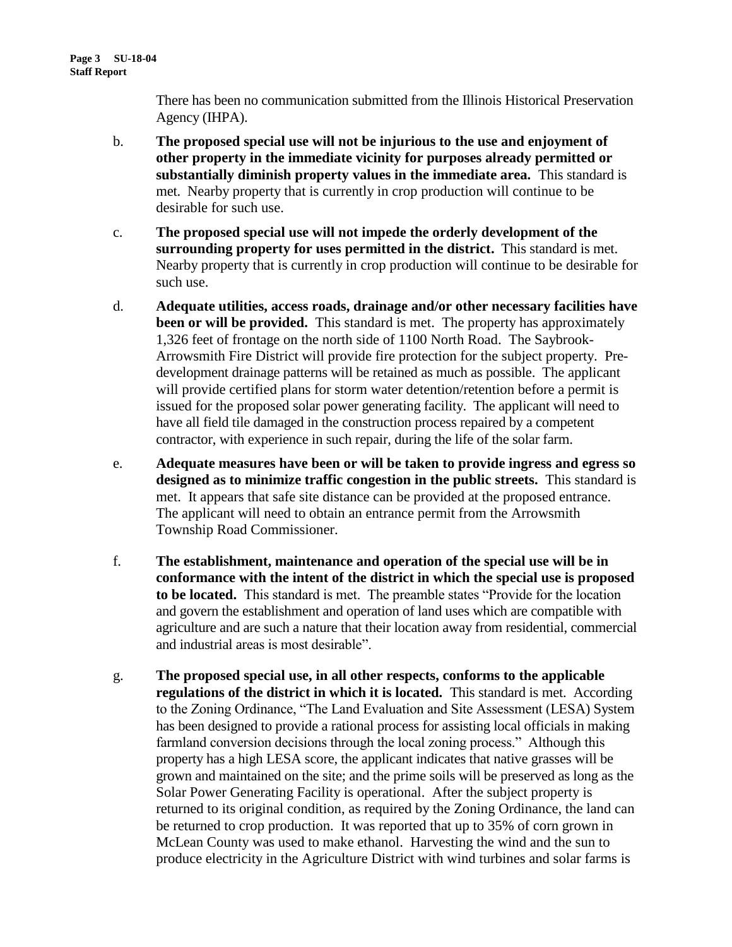There has been no communication submitted from the Illinois Historical Preservation Agency (IHPA).

- b. **The proposed special use will not be injurious to the use and enjoyment of other property in the immediate vicinity for purposes already permitted or substantially diminish property values in the immediate area.** This standard is met. Nearby property that is currently in crop production will continue to be desirable for such use.
- c. **The proposed special use will not impede the orderly development of the surrounding property for uses permitted in the district.** This standard is met. Nearby property that is currently in crop production will continue to be desirable for such use.
- d. **Adequate utilities, access roads, drainage and/or other necessary facilities have been or will be provided.** This standard is met. The property has approximately 1,326 feet of frontage on the north side of 1100 North Road. The Saybrook-Arrowsmith Fire District will provide fire protection for the subject property. Predevelopment drainage patterns will be retained as much as possible. The applicant will provide certified plans for storm water detention/retention before a permit is issued for the proposed solar power generating facility. The applicant will need to have all field tile damaged in the construction process repaired by a competent contractor, with experience in such repair, during the life of the solar farm.
- e. **Adequate measures have been or will be taken to provide ingress and egress so designed as to minimize traffic congestion in the public streets.** This standard is met. It appears that safe site distance can be provided at the proposed entrance. The applicant will need to obtain an entrance permit from the Arrowsmith Township Road Commissioner.
- f. **The establishment, maintenance and operation of the special use will be in conformance with the intent of the district in which the special use is proposed to be located.** This standard is met. The preamble states "Provide for the location and govern the establishment and operation of land uses which are compatible with agriculture and are such a nature that their location away from residential, commercial and industrial areas is most desirable".
- g. **The proposed special use, in all other respects, conforms to the applicable regulations of the district in which it is located.** This standard is met. According to the Zoning Ordinance, "The Land Evaluation and Site Assessment (LESA) System has been designed to provide a rational process for assisting local officials in making farmland conversion decisions through the local zoning process." Although this property has a high LESA score, the applicant indicates that native grasses will be grown and maintained on the site; and the prime soils will be preserved as long as the Solar Power Generating Facility is operational. After the subject property is returned to its original condition, as required by the Zoning Ordinance, the land can be returned to crop production. It was reported that up to 35% of corn grown in McLean County was used to make ethanol. Harvesting the wind and the sun to produce electricity in the Agriculture District with wind turbines and solar farms is